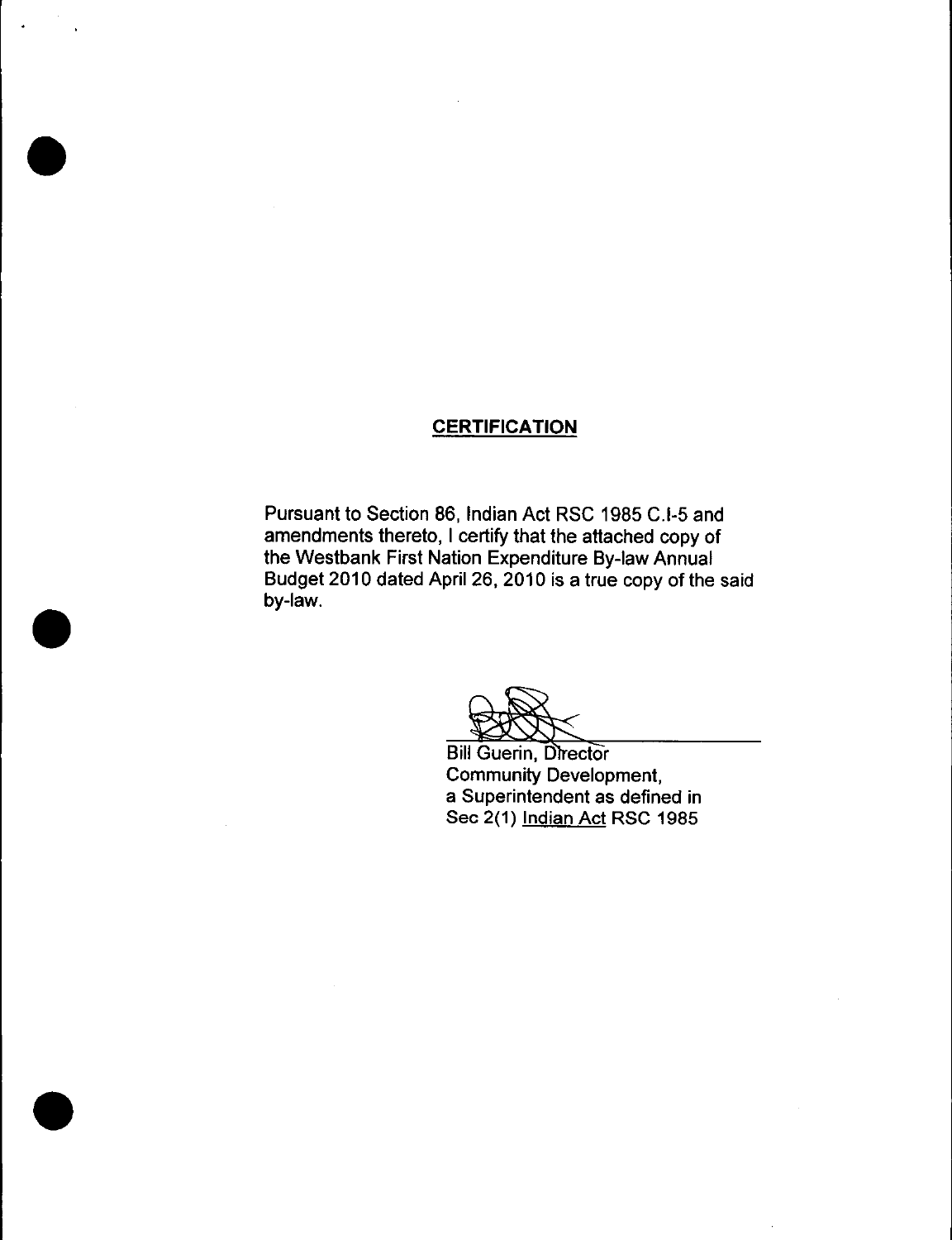# **CERTIFICATION**

Pursuant to Section 86, Indian Act RSC 1985 C.I-5 and amendments thereto, I certify that the attached copy of the Westbank First Nation Expenditure By -law Annual Budget 2010 dated April 26, 2010 is a true copy of the said by-law.

**Bill Guerin, Director** Community Development, a Superintendent as defined in Sec 2(1) Indian Act RSC 1985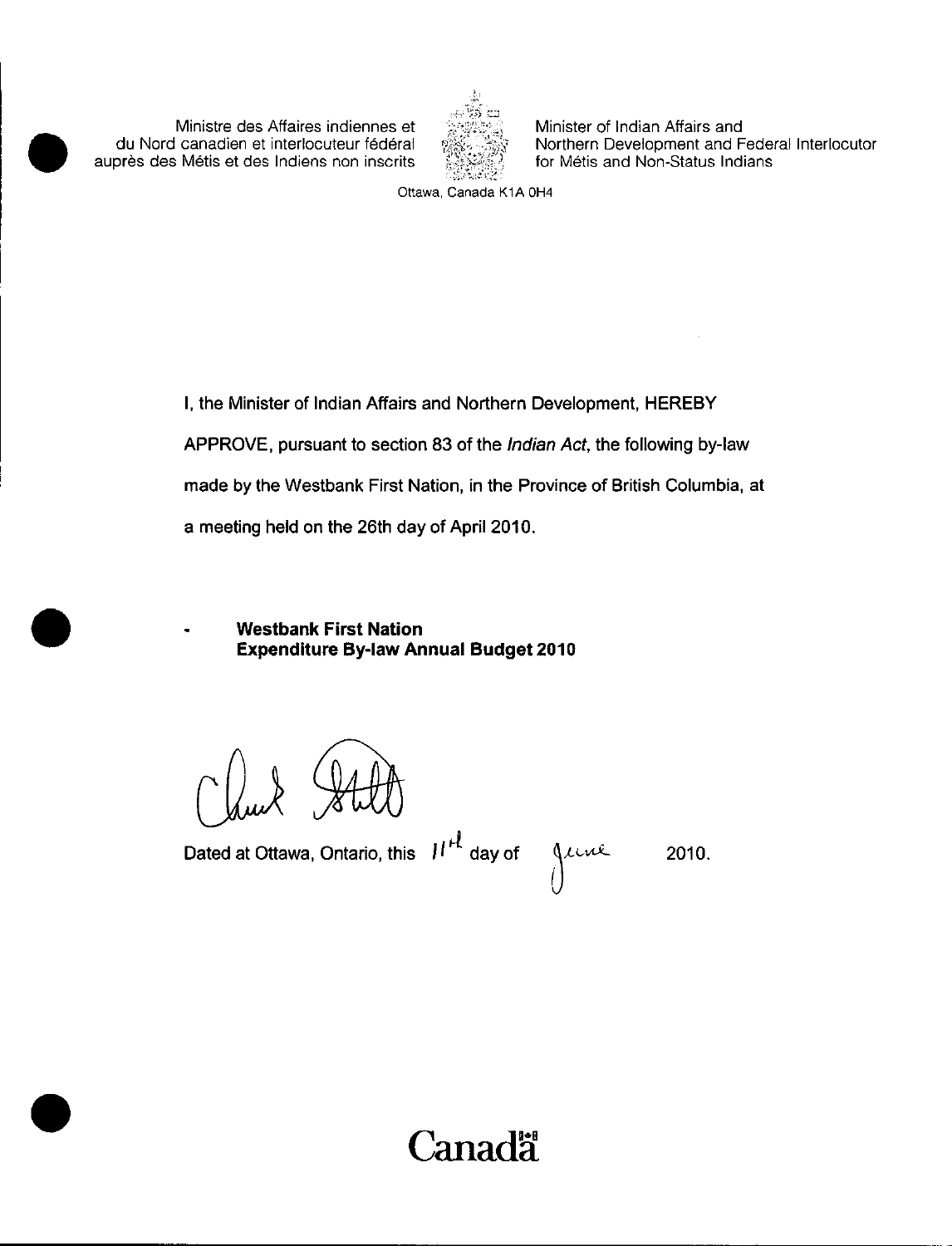Ministre des Affaires indiennes et du Nord canadien et interlocuteur federal auprès des Métis et des Indiens non inscrits



Minister of Indian Affairs and Northern Development and Federal Interlocutor for Métis and Non-Status Indians

Ottawa, Canada K1A OH4

I, the Minister of Indian Affairs and Northern Development, HEREBY APPROVE, pursuant to section 83 of the Indian Act, the following by-law made by the Westbank First Nation, in the Province of British Columbia, at a meeting held on the 26th day of April 2010.

Westbank First Nation **Expenditure By-law Annual Budget 2010** 

Dated at Ottawa, Ontario, this  $H^{\mu}$  day of  $\Lambda$ une 2010.

**Canada**